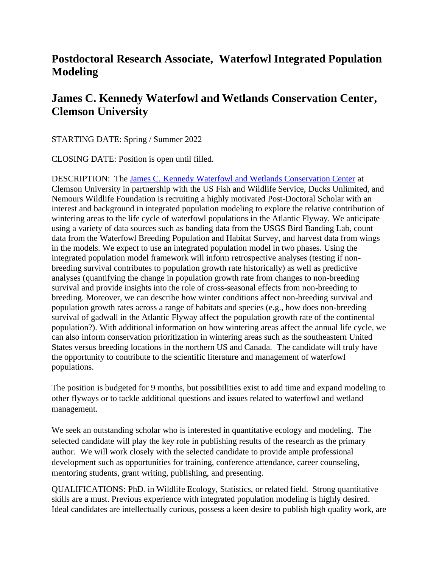## **Postdoctoral Research Associate, Waterfowl Integrated Population Modeling**

## **James C. Kennedy Waterfowl and Wetlands Conservation Center, Clemson University**

STARTING DATE: Spring / Summer 2022

CLOSING DATE: Position is open until filled.

DESCRIPTION: The [James C. Kennedy Waterfowl and Wetlands Conservation Center](https://www.clemson.edu/cafls/departments/kennedycenter/) at Clemson University in partnership with the US Fish and Wildlife Service, Ducks Unlimited, and Nemours Wildlife Foundation is recruiting a highly motivated Post-Doctoral Scholar with an interest and background in integrated population modeling to explore the relative contribution of wintering areas to the life cycle of waterfowl populations in the Atlantic Flyway. We anticipate using a variety of data sources such as banding data from the USGS Bird Banding Lab, count data from the Waterfowl Breeding Population and Habitat Survey, and harvest data from wings in the models. We expect to use an integrated population model in two phases. Using the integrated population model framework will inform retrospective analyses (testing if nonbreeding survival contributes to population growth rate historically) as well as predictive analyses (quantifying the change in population growth rate from changes to non-breeding survival and provide insights into the role of cross-seasonal effects from non-breeding to breeding. Moreover, we can describe how winter conditions affect non-breeding survival and population growth rates across a range of habitats and species (e.g., how does non-breeding survival of gadwall in the Atlantic Flyway affect the population growth rate of the continental population?). With additional information on how wintering areas affect the annual life cycle, we can also inform conservation prioritization in wintering areas such as the southeastern United States versus breeding locations in the northern US and Canada. The candidate will truly have the opportunity to contribute to the scientific literature and management of waterfowl populations.

The position is budgeted for 9 months, but possibilities exist to add time and expand modeling to other flyways or to tackle additional questions and issues related to waterfowl and wetland management.

We seek an outstanding scholar who is interested in quantitative ecology and modeling. The selected candidate will play the key role in publishing results of the research as the primary author. We will work closely with the selected candidate to provide ample professional development such as opportunities for training, conference attendance, career counseling, mentoring students, grant writing, publishing, and presenting.

QUALIFICATIONS: PhD. in Wildlife Ecology, Statistics, or related field. Strong quantitative skills are a must. Previous experience with integrated population modeling is highly desired. Ideal candidates are intellectually curious, possess a keen desire to publish high quality work, are